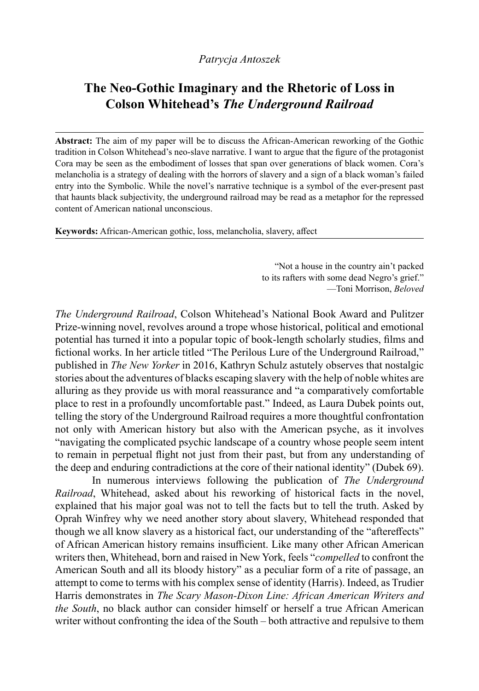## **The Neo-Gothic Imaginary and the Rhetoric of Loss in Colson Whitehead's** *The Underground Railroad*

**Abstract:** The aim of my paper will be to discuss the African-American reworking of the Gothic tradition in Colson Whitehead's neo-slave narrative. I want to argue that the figure of the protagonist Cora may be seen as the embodiment of losses that span over generations of black women. Cora's melancholia is a strategy of dealing with the horrors of slavery and a sign of a black woman's failed entry into the Symbolic. While the novel's narrative technique is a symbol of the ever-present past that haunts black subjectivity, the underground railroad may be read as a metaphor for the repressed content of American national unconscious.

**Keywords:** African-American gothic, loss, melancholia, slavery, affect

"Not a house in the country ain't packed to its rafters with some dead Negro's grief." —Toni Morrison, *Beloved*

*The Underground Railroad*, Colson Whitehead's National Book Award and Pulitzer Prize-winning novel, revolves around a trope whose historical, political and emotional potential has turned it into a popular topic of book-length scholarly studies, films and fictional works. In her article titled "The Perilous Lure of the Underground Railroad," published in *The New Yorker* in 2016, Kathryn Schulz astutely observes that nostalgic stories about the adventures of blacks escaping slavery with the help of noble whites are alluring as they provide us with moral reassurance and "a comparatively comfortable place to rest in a profoundly uncomfortable past." Indeed, as Laura Dubek points out, telling the story of the Underground Railroad requires a more thoughtful confrontation not only with American history but also with the American psyche, as it involves "navigating the complicated psychic landscape of a country whose people seem intent to remain in perpetual flight not just from their past, but from any understanding of the deep and enduring contradictions at the core of their national identity" (Dubek 69).

In numerous interviews following the publication of *The Underground Railroad*, Whitehead, asked about his reworking of historical facts in the novel, explained that his major goal was not to tell the facts but to tell the truth. Asked by Oprah Winfrey why we need another story about slavery, Whitehead responded that though we all know slavery as a historical fact, our understanding of the "aftereffects" of African American history remains insufficient. Like many other African American writers then, Whitehead, born and raised in New York, feels "*compelled* to confront the American South and all its bloody history" as a peculiar form of a rite of passage, an attempt to come to terms with his complex sense of identity (Harris). Indeed, as Trudier Harris demonstrates in *The Scary Mason-Dixon Line: African American Writers and the South*, no black author can consider himself or herself a true African American writer without confronting the idea of the South – both attractive and repulsive to them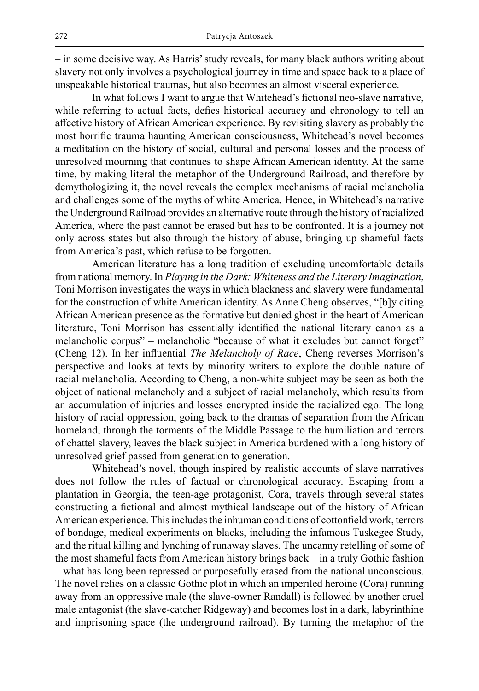– in some decisive way. As Harris' study reveals, for many black authors writing about slavery not only involves a psychological journey in time and space back to a place of unspeakable historical traumas, but also becomes an almost visceral experience.

In what follows I want to argue that Whitehead's fictional neo-slave narrative, while referring to actual facts, defies historical accuracy and chronology to tell an affective history of African American experience. By revisiting slavery as probably the most horrific trauma haunting American consciousness, Whitehead's novel becomes a meditation on the history of social, cultural and personal losses and the process of unresolved mourning that continues to shape African American identity. At the same time, by making literal the metaphor of the Underground Railroad, and therefore by demythologizing it, the novel reveals the complex mechanisms of racial melancholia and challenges some of the myths of white America. Hence, in Whitehead's narrative the Underground Railroad provides an alternative route through the history of racialized America, where the past cannot be erased but has to be confronted. It is a journey not only across states but also through the history of abuse, bringing up shameful facts from America's past, which refuse to be forgotten.

American literature has a long tradition of excluding uncomfortable details from national memory. In *Playing in the Dark: Whiteness and the Literary Imagination*, Toni Morrison investigates the ways in which blackness and slavery were fundamental for the construction of white American identity. As Anne Cheng observes, "[b]y citing African American presence as the formative but denied ghost in the heart of American literature, Toni Morrison has essentially identified the national literary canon as a melancholic corpus" – melancholic "because of what it excludes but cannot forget" (Cheng 12). In her influential *The Melancholy of Race*, Cheng reverses Morrison's perspective and looks at texts by minority writers to explore the double nature of racial melancholia. According to Cheng, a non-white subject may be seen as both the object of national melancholy and a subject of racial melancholy, which results from an accumulation of injuries and losses encrypted inside the racialized ego. The long history of racial oppression, going back to the dramas of separation from the African homeland, through the torments of the Middle Passage to the humiliation and terrors of chattel slavery, leaves the black subject in America burdened with a long history of unresolved grief passed from generation to generation.

Whitehead's novel, though inspired by realistic accounts of slave narratives does not follow the rules of factual or chronological accuracy. Escaping from a plantation in Georgia, the teen-age protagonist, Cora, travels through several states constructing a fictional and almost mythical landscape out of the history of African American experience. This includes the inhuman conditions of cottonfield work, terrors of bondage, medical experiments on blacks, including the infamous Tuskegee Study, and the ritual killing and lynching of runaway slaves. The uncanny retelling of some of the most shameful facts from American history brings back – in a truly Gothic fashion – what has long been repressed or purposefully erased from the national unconscious. The novel relies on a classic Gothic plot in which an imperiled heroine (Cora) running away from an oppressive male (the slave-owner Randall) is followed by another cruel male antagonist (the slave-catcher Ridgeway) and becomes lost in a dark, labyrinthine and imprisoning space (the underground railroad). By turning the metaphor of the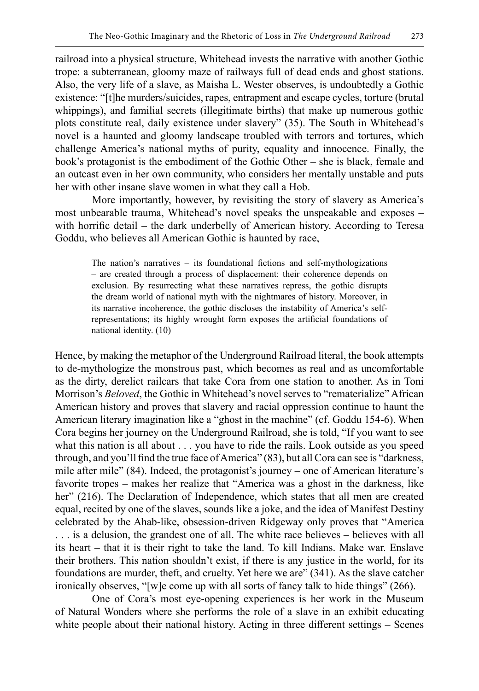railroad into a physical structure, Whitehead invests the narrative with another Gothic trope: a subterranean, gloomy maze of railways full of dead ends and ghost stations. Also, the very life of a slave, as Maisha L. Wester observes, is undoubtedly a Gothic existence: "[t]he murders/suicides, rapes, entrapment and escape cycles, torture (brutal whippings), and familial secrets (illegitimate births) that make up numerous gothic plots constitute real, daily existence under slavery" (35). The South in Whitehead's novel is a haunted and gloomy landscape troubled with terrors and tortures, which challenge America's national myths of purity, equality and innocence. Finally, the book's protagonist is the embodiment of the Gothic Other – she is black, female and an outcast even in her own community, who considers her mentally unstable and puts her with other insane slave women in what they call a Hob.

More importantly, however, by revisiting the story of slavery as America's most unbearable trauma, Whitehead's novel speaks the unspeakable and exposes – with horrific detail – the dark underbelly of American history. According to Teresa Goddu, who believes all American Gothic is haunted by race,

The nation's narratives – its foundational fictions and self-mythologizations – are created through a process of displacement: their coherence depends on exclusion. By resurrecting what these narratives repress, the gothic disrupts the dream world of national myth with the nightmares of history. Moreover, in its narrative incoherence, the gothic discloses the instability of America's selfrepresentations; its highly wrought form exposes the artificial foundations of national identity. (10)

Hence, by making the metaphor of the Underground Railroad literal, the book attempts to de-mythologize the monstrous past, which becomes as real and as uncomfortable as the dirty, derelict railcars that take Cora from one station to another. As in Toni Morrison's *Beloved*, the Gothic in Whitehead's novel serves to "rematerialize" African American history and proves that slavery and racial oppression continue to haunt the American literary imagination like a "ghost in the machine" (cf. Goddu 154-6). When Cora begins her journey on the Underground Railroad, she is told, "If you want to see what this nation is all about . . . you have to ride the rails. Look outside as you speed through, and you'll find the true face of America" (83), but all Cora can see is "darkness, mile after mile" (84). Indeed, the protagonist's journey – one of American literature's favorite tropes – makes her realize that "America was a ghost in the darkness, like her" (216). The Declaration of Independence, which states that all men are created equal, recited by one of the slaves, sounds like a joke, and the idea of Manifest Destiny celebrated by the Ahab-like, obsession-driven Ridgeway only proves that "America . . . is a delusion, the grandest one of all. The white race believes – believes with all its heart – that it is their right to take the land. To kill Indians. Make war. Enslave their brothers. This nation shouldn't exist, if there is any justice in the world, for its foundations are murder, theft, and cruelty. Yet here we are" (341). As the slave catcher ironically observes, "[w]e come up with all sorts of fancy talk to hide things"  $(266)$ .

One of Cora's most eye-opening experiences is her work in the Museum of Natural Wonders where she performs the role of a slave in an exhibit educating white people about their national history. Acting in three different settings – Scenes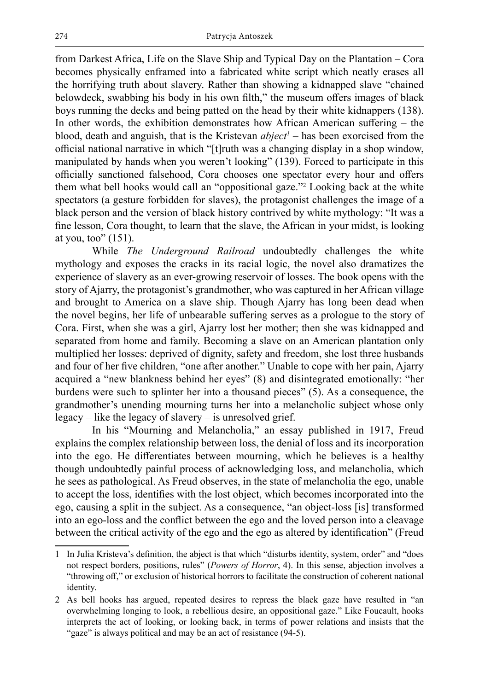from Darkest Africa, Life on the Slave Ship and Typical Day on the Plantation – Cora becomes physically enframed into a fabricated white script which neatly erases all the horrifying truth about slavery. Rather than showing a kidnapped slave "chained belowdeck, swabbing his body in his own filth," the museum offers images of black boys running the decks and being patted on the head by their white kidnappers (138). In other words, the exhibition demonstrates how African American suffering – the blood, death and anguish, that is the Kristevan *abject<sup>1</sup>* – has been exorcised from the official national narrative in which "[t]ruth was a changing display in a shop window, manipulated by hands when you weren't looking" (139). Forced to participate in this officially sanctioned falsehood, Cora chooses one spectator every hour and offers them what bell hooks would call an "oppositional gaze."2 Looking back at the white spectators (a gesture forbidden for slaves), the protagonist challenges the image of a black person and the version of black history contrived by white mythology: "It was a fine lesson, Cora thought, to learn that the slave, the African in your midst, is looking at you, too"  $(151)$ .

While *The Underground Railroad* undoubtedly challenges the white mythology and exposes the cracks in its racial logic, the novel also dramatizes the experience of slavery as an ever-growing reservoir of losses. The book opens with the story of Ajarry, the protagonist's grandmother, who was captured in her African village and brought to America on a slave ship. Though Ajarry has long been dead when the novel begins, her life of unbearable suffering serves as a prologue to the story of Cora. First, when she was a girl, Ajarry lost her mother; then she was kidnapped and separated from home and family. Becoming a slave on an American plantation only multiplied her losses: deprived of dignity, safety and freedom, she lost three husbands and four of her five children, "one after another." Unable to cope with her pain, Ajarry acquired a "new blankness behind her eyes" (8) and disintegrated emotionally: "her burdens were such to splinter her into a thousand pieces" (5). As a consequence, the grandmother's unending mourning turns her into a melancholic subject whose only legacy – like the legacy of slavery – is unresolved grief.

In his "Mourning and Melancholia," an essay published in 1917, Freud explains the complex relationship between loss, the denial of loss and its incorporation into the ego. He differentiates between mourning, which he believes is a healthy though undoubtedly painful process of acknowledging loss, and melancholia, which he sees as pathological. As Freud observes, in the state of melancholia the ego, unable to accept the loss, identifies with the lost object, which becomes incorporated into the ego, causing a split in the subject. As a consequence, "an object-loss [is] transformed into an ego-loss and the conflict between the ego and the loved person into a cleavage between the critical activity of the ego and the ego as altered by identification" (Freud

<sup>1</sup> In Julia Kristeva's definition, the abject is that which "disturbs identity, system, order" and "does not respect borders, positions, rules" (*Powers of Horror*, 4). In this sense, abjection involves a "throwing off," or exclusion of historical horrors to facilitate the construction of coherent national identity.

<sup>2</sup> As bell hooks has argued, repeated desires to repress the black gaze have resulted in "an overwhelming longing to look, a rebellious desire, an oppositional gaze." Like Foucault, hooks interprets the act of looking, or looking back, in terms of power relations and insists that the "gaze" is always political and may be an act of resistance (94-5).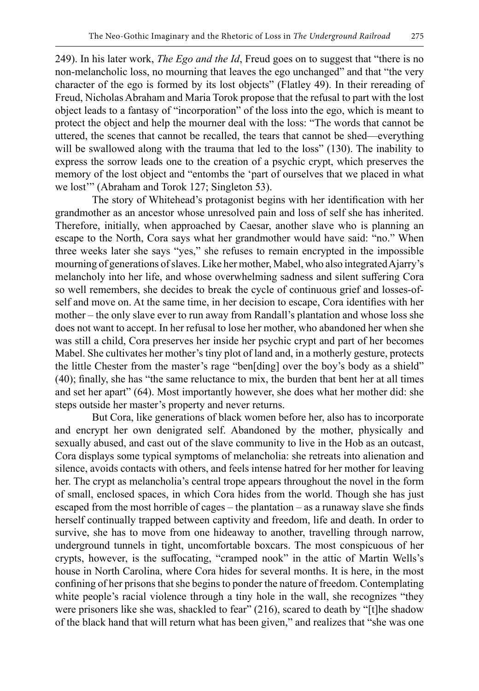249). In his later work, *The Ego and the Id*, Freud goes on to suggest that "there is no non-melancholic loss, no mourning that leaves the ego unchanged" and that "the very character of the ego is formed by its lost objects" (Flatley 49). In their rereading of Freud, Nicholas Abraham and Maria Torok propose that the refusal to part with the lost object leads to a fantasy of "incorporation" of the loss into the ego, which is meant to protect the object and help the mourner deal with the loss: "The words that cannot be uttered, the scenes that cannot be recalled, the tears that cannot be shed—everything will be swallowed along with the trauma that led to the loss" (130). The inability to express the sorrow leads one to the creation of a psychic crypt, which preserves the memory of the lost object and "entombs the 'part of ourselves that we placed in what we lost'" (Abraham and Torok 127; Singleton 53).

The story of Whitehead's protagonist begins with her identification with her grandmother as an ancestor whose unresolved pain and loss of self she has inherited. Therefore, initially, when approached by Caesar, another slave who is planning an escape to the North, Cora says what her grandmother would have said: "no." When three weeks later she says "yes," she refuses to remain encrypted in the impossible mourning of generations of slaves. Like her mother, Mabel, who also integrated Ajarry's melancholy into her life, and whose overwhelming sadness and silent suffering Cora so well remembers, she decides to break the cycle of continuous grief and losses-ofself and move on. At the same time, in her decision to escape, Cora identifies with her mother – the only slave ever to run away from Randall's plantation and whose loss she does not want to accept. In her refusal to lose her mother, who abandoned her when she was still a child, Cora preserves her inside her psychic crypt and part of her becomes Mabel. She cultivates her mother's tiny plot of land and, in a motherly gesture, protects the little Chester from the master's rage "ben[ding] over the boy's body as a shield" (40); finally, she has "the same reluctance to mix, the burden that bent her at all times and set her apart" (64). Most importantly however, she does what her mother did: she steps outside her master's property and never returns.

But Cora, like generations of black women before her, also has to incorporate and encrypt her own denigrated self. Abandoned by the mother, physically and sexually abused, and cast out of the slave community to live in the Hob as an outcast, Cora displays some typical symptoms of melancholia: she retreats into alienation and silence, avoids contacts with others, and feels intense hatred for her mother for leaving her. The crypt as melancholia's central trope appears throughout the novel in the form of small, enclosed spaces, in which Cora hides from the world. Though she has just escaped from the most horrible of cages – the plantation – as a runaway slave she finds herself continually trapped between captivity and freedom, life and death. In order to survive, she has to move from one hideaway to another, travelling through narrow, underground tunnels in tight, uncomfortable boxcars. The most conspicuous of her crypts, however, is the suffocating, "cramped nook" in the attic of Martin Wells's house in North Carolina, where Cora hides for several months. It is here, in the most confining of her prisons that she begins to ponder the nature of freedom. Contemplating white people's racial violence through a tiny hole in the wall, she recognizes "they were prisoners like she was, shackled to fear" (216), scared to death by "[t]he shadow of the black hand that will return what has been given," and realizes that "she was one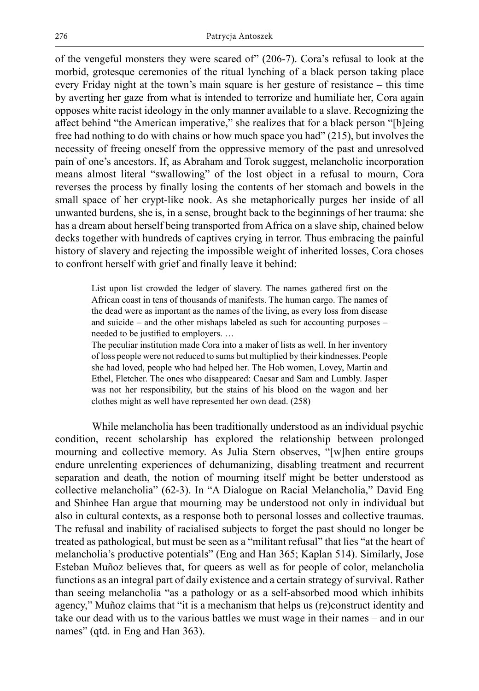of the vengeful monsters they were scared of" (206-7). Cora's refusal to look at the morbid, grotesque ceremonies of the ritual lynching of a black person taking place every Friday night at the town's main square is her gesture of resistance – this time by averting her gaze from what is intended to terrorize and humiliate her, Cora again opposes white racist ideology in the only manner available to a slave. Recognizing the affect behind "the American imperative," she realizes that for a black person "[b]eing free had nothing to do with chains or how much space you had" (215), but involves the necessity of freeing oneself from the oppressive memory of the past and unresolved pain of one's ancestors. If, as Abraham and Torok suggest, melancholic incorporation means almost literal "swallowing" of the lost object in a refusal to mourn, Cora reverses the process by finally losing the contents of her stomach and bowels in the small space of her crypt-like nook. As she metaphorically purges her inside of all unwanted burdens, she is, in a sense, brought back to the beginnings of her trauma: she has a dream about herself being transported from Africa on a slave ship, chained below decks together with hundreds of captives crying in terror. Thus embracing the painful history of slavery and rejecting the impossible weight of inherited losses, Cora choses to confront herself with grief and finally leave it behind:

List upon list crowded the ledger of slavery. The names gathered first on the African coast in tens of thousands of manifests. The human cargo. The names of the dead were as important as the names of the living, as every loss from disease and suicide – and the other mishaps labeled as such for accounting purposes – needed to be justified to employers. …

The peculiar institution made Cora into a maker of lists as well. In her inventory of loss people were not reduced to sums but multiplied by their kindnesses. People she had loved, people who had helped her. The Hob women, Lovey, Martin and Ethel, Fletcher. The ones who disappeared: Caesar and Sam and Lumbly. Jasper was not her responsibility, but the stains of his blood on the wagon and her clothes might as well have represented her own dead. (258)

While melancholia has been traditionally understood as an individual psychic condition, recent scholarship has explored the relationship between prolonged mourning and collective memory. As Julia Stern observes, "[w]hen entire groups endure unrelenting experiences of dehumanizing, disabling treatment and recurrent separation and death, the notion of mourning itself might be better understood as collective melancholia" (62-3). In "A Dialogue on Racial Melancholia," David Eng and Shinhee Han argue that mourning may be understood not only in individual but also in cultural contexts, as a response both to personal losses and collective traumas. The refusal and inability of racialised subjects to forget the past should no longer be treated as pathological, but must be seen as a "militant refusal" that lies "at the heart of melancholia's productive potentials" (Eng and Han 365; Kaplan 514). Similarly, Jose Esteban Muñoz believes that, for queers as well as for people of color, melancholia functions as an integral part of daily existence and a certain strategy of survival. Rather than seeing melancholia "as a pathology or as a self-absorbed mood which inhibits agency," Muñoz claims that "it is a mechanism that helps us (re)construct identity and take our dead with us to the various battles we must wage in their names – and in our names" (qtd. in Eng and Han 363).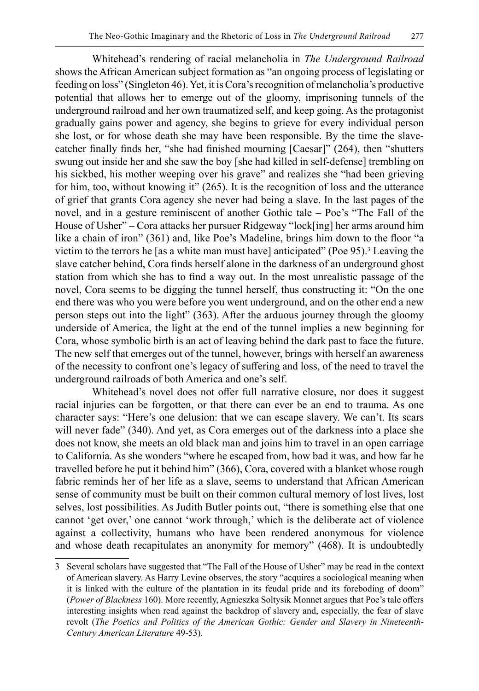Whitehead's rendering of racial melancholia in *The Underground Railroad* shows the African American subject formation as "an ongoing process of legislating or feeding on loss" (Singleton 46). Yet, it is Cora's recognition of melancholia's productive potential that allows her to emerge out of the gloomy, imprisoning tunnels of the underground railroad and her own traumatized self, and keep going. As the protagonist gradually gains power and agency, she begins to grieve for every individual person she lost, or for whose death she may have been responsible. By the time the slavecatcher finally finds her, "she had finished mourning [Caesar]" (264), then "shutters swung out inside her and she saw the boy [she had killed in self-defense] trembling on his sickbed, his mother weeping over his grave" and realizes she "had been grieving for him, too, without knowing it" (265). It is the recognition of loss and the utterance of grief that grants Cora agency she never had being a slave. In the last pages of the novel, and in a gesture reminiscent of another Gothic tale – Poe's "The Fall of the House of Usher" – Cora attacks her pursuer Ridgeway "lock[ing] her arms around him like a chain of iron" (361) and, like Poe's Madeline, brings him down to the floor "a victim to the terrors he [as a white man must have] anticipated" (Poe 95).<sup>3</sup> Leaving the slave catcher behind, Cora finds herself alone in the darkness of an underground ghost station from which she has to find a way out. In the most unrealistic passage of the novel, Cora seems to be digging the tunnel herself, thus constructing it: "On the one end there was who you were before you went underground, and on the other end a new person steps out into the light" (363). After the arduous journey through the gloomy underside of America, the light at the end of the tunnel implies a new beginning for Cora, whose symbolic birth is an act of leaving behind the dark past to face the future. The new self that emerges out of the tunnel, however, brings with herself an awareness of the necessity to confront one's legacy of suffering and loss, of the need to travel the underground railroads of both America and one's self.

Whitehead's novel does not offer full narrative closure, nor does it suggest racial injuries can be forgotten, or that there can ever be an end to trauma. As one character says: "Here's one delusion: that we can escape slavery. We can't. Its scars will never fade" (340). And yet, as Cora emerges out of the darkness into a place she does not know, she meets an old black man and joins him to travel in an open carriage to California. As she wonders "where he escaped from, how bad it was, and how far he travelled before he put it behind him" (366), Cora, covered with a blanket whose rough fabric reminds her of her life as a slave, seems to understand that African American sense of community must be built on their common cultural memory of lost lives, lost selves, lost possibilities. As Judith Butler points out, "there is something else that one cannot 'get over,' one cannot 'work through,' which is the deliberate act of violence against a collectivity, humans who have been rendered anonymous for violence and whose death recapitulates an anonymity for memory" (468). It is undoubtedly

<sup>3</sup> Several scholars have suggested that "The Fall of the House of Usher" may be read in the context of American slavery. As Harry Levine observes, the story "acquires a sociological meaning when it is linked with the culture of the plantation in its feudal pride and its foreboding of doom" (*Power of Blackness* 160). More recently, Agnieszka Soltysik Monnet argues that Poe's tale offers interesting insights when read against the backdrop of slavery and, especially, the fear of slave revolt (*The Poetics and Politics of the American Gothic: Gender and Slavery in Nineteenth-Century American Literature* 49-53).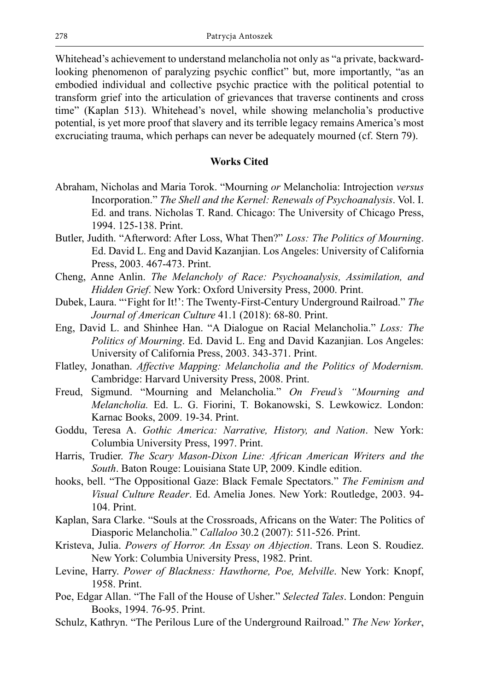Whitehead's achievement to understand melancholia not only as "a private, backwardlooking phenomenon of paralyzing psychic conflict" but, more importantly, "as an embodied individual and collective psychic practice with the political potential to transform grief into the articulation of grievances that traverse continents and cross time" (Kaplan 513). Whitehead's novel, while showing melancholia's productive potential, is yet more proof that slavery and its terrible legacy remains America's most excruciating trauma, which perhaps can never be adequately mourned (cf. Stern 79).

## **Works Cited**

- Abraham, Nicholas and Maria Torok. "Mourning *or* Melancholia: Introjection *versus*  Incorporation." *The Shell and the Kernel: Renewals of Psychoanalysis*. Vol. I. Ed. and trans. Nicholas T. Rand. Chicago: The University of Chicago Press, 1994. 125-138. Print.
- Butler, Judith. "Afterword: After Loss, What Then?" *Loss: The Politics of Mourning*. Ed. David L. Eng and David Kazanjian. Los Angeles: University of California Press, 2003. 467-473. Print.
- Cheng, Anne Anlin. *The Melancholy of Race: Psychoanalysis, Assimilation, and Hidden Grief*. New York: Oxford University Press, 2000. Print.
- Dubek, Laura. "'Fight for It!': The Twenty-First-Century Underground Railroad." *The Journal of American Culture* 41.1 (2018): 68-80. Print.
- Eng, David L. and Shinhee Han. "A Dialogue on Racial Melancholia." *Loss: The Politics of Mourning*. Ed. David L. Eng and David Kazanjian. Los Angeles: University of California Press, 2003. 343-371. Print.
- Flatley, Jonathan. *Affective Mapping: Melancholia and the Politics of Modernism.* Cambridge: Harvard University Press, 2008. Print.
- Freud, Sigmund. "Mourning and Melancholia." *On Freud's "Mourning and Melancholia.* Ed. L. G. Fiorini, T. Bokanowski, S. Lewkowicz. London: Karnac Books, 2009. 19-34. Print.
- Goddu, Teresa A. *Gothic America: Narrative, History, and Nation*. New York: Columbia University Press, 1997. Print.
- Harris, Trudier. *The Scary Mason-Dixon Line: African American Writers and the South*. Baton Rouge: Louisiana State UP, 2009. Kindle edition.
- hooks, bell. "The Oppositional Gaze: Black Female Spectators." *The Feminism and Visual Culture Reader*. Ed. Amelia Jones. New York: Routledge, 2003. 94- 104. Print.
- Kaplan, Sara Clarke. "Souls at the Crossroads, Africans on the Water: The Politics of Diasporic Melancholia." *Callaloo* 30.2 (2007): 511-526. Print.
- Kristeva, Julia. *Powers of Horror. An Essay on Abjection*. Trans. Leon S. Roudiez. New York: Columbia University Press, 1982. Print.
- Levine, Harry. *Power of Blackness: Hawthorne, Poe, Melville*. New York: Knopf, 1958. Print.
- Poe, Edgar Allan. "The Fall of the House of Usher." *Selected Tales*. London: Penguin Books, 1994. 76-95. Print.
- Schulz, Kathryn. "The Perilous Lure of the Underground Railroad." *The New Yorker*,